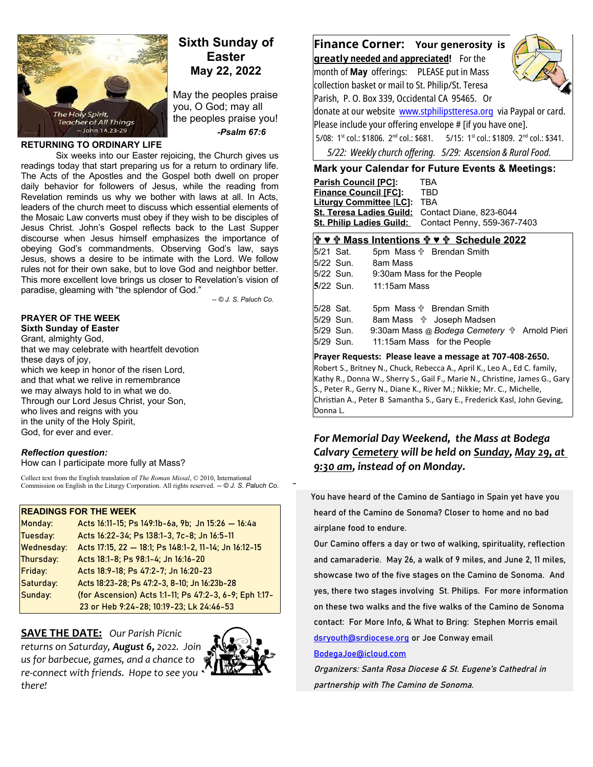

# **Sixth Sunday of Easter May 22, 2022**

May the peoples praise you, O God; may all the peoples praise you!  *-Psalm 67:6*

#### **RETURNING TO ORDINARY LIFE**

Six weeks into our Easter rejoicing, the Church gives us readings today that start preparing us for a return to ordinary life. The Acts of the Apostles and the Gospel both dwell on proper daily behavior for followers of Jesus, while the reading from Revelation reminds us why we bother with laws at all. In Acts, leaders of the church meet to discuss which essential elements of the Mosaic Law converts must obey if they wish to be disciples of Jesus Christ. John's Gospel reflects back to the Last Supper discourse when Jesus himself emphasizes the importance of obeying God's commandments. Observing God's law, says Jesus, shows a desire to be intimate with the Lord. We follow rules not for their own sake, but to love God and neighbor better. This more excellent love brings us closer to Revelation's vision of paradise, gleaming with "the splendor of God."

*-- © J. S. Paluch Co*.

\_

#### **PRAYER OF THE WEEK Sixth Sunday of Easter**

Grant, almighty God, that we may celebrate with heartfelt devotion these days of joy, which we keep in honor of the risen Lord, and that what we relive in remembrance we may always hold to in what we do. Through our Lord Jesus Christ, your Son, who lives and reigns with you in the unity of the Holy Spirit, God, for ever and ever.

## *Reflection question:*

How can I participate more fully at Mass?

Collect text from the English translation of *The Roman Missal*, © 2010, International Commission on English in the Liturgy Corporation. All rights reserved. *-- © J. S. Paluch Co*.

# **READINGS FOR THE WEEK**

| Monday:           | Acts 16:11-15; Ps 149:1b-6a, 9b; Jn 15:26 - 16:4a      |
|-------------------|--------------------------------------------------------|
| Tuesday:          | Acts 16:22-34; Ps 138:1-3, 7c-8; Jn 16:5-11            |
| <b>Wednesday:</b> | Acts 17:15, 22 - 18:1; Ps 148:1-2, 11-14; Jn 16:12-15  |
| Thursday:         | Acts 18:1-8; Ps 98:1-4; Jn 16:16-20                    |
| Friday:           | Acts 18:9-18; Ps 47:2-7; Jn 16:20-23                   |
| Saturday:         | Acts 18:23-28; Ps 47:2-3, 8-10; Jn 16:23b-28           |
| Sunday:           | (for Ascension) Acts 1:1-11; Ps 47:2-3, 6-9; Eph 1:17- |
|                   | 23 or Heb 9:24-28; 10:19-23; Lk 24:46-53               |

**SAVE THE DATE:** *Our Parish Picnic*

*returns on Saturday, August 6, 2022. Join us for barbecue, games, and a chance to re-connect with friends. Hope to see you there!*



# **Finance Corner: Your generosity is**

 **greatl y needed and appreciated!** For the month of **May** offerings: PLEASE put in Mass collection basket or mail to St. Philip/St. Teresa Parish, P. O. Box 339, Occidental CA 95465. Or



donate at our website [www.stphilipstteresa.org](http://www.stphilipstteresa.org/) via Paypal or card. Please include your offering envelope # [if you have one]. 5/08: 1<sup>st</sup> col.: \$1806. 2<sup>nd</sup> col.: \$681. 5/15: 1<sup>st</sup> col.: \$1809. 2<sup>nd</sup> col.: \$341. *5/22: Weekly church offering. 5/29: Ascension & Rural Food.*

## **Mark your Calendar for Future Events & Meetings:**

| <b>Parish Council [PC]:</b>                      | TRA                                                  |
|--------------------------------------------------|------------------------------------------------------|
| <b>Finance Council [FC]:</b>                     | TBD                                                  |
| <b>Liturgy Committee [LC]:</b>                   | <b>TBA</b>                                           |
| St. Teresa Ladies Guild: Contact Diane, 823-6044 |                                                      |
|                                                  | St. Philip Ladies Guild: Contact Penny, 559-367-7403 |
|                                                  |                                                      |

|            |           | † ♥ † Mass Intentions † ♥ † Schedule 2022           |
|------------|-----------|-----------------------------------------------------|
| 5/21 Sat.  |           | 5pm Mass <sup>†</sup> Brendan Smith                 |
|            | 5/22 Sun. | 8am Mass                                            |
|            | 5/22 Sun. | 9:30am Mass for the People                          |
|            | 5/22 Sun. | 11:15am Mass                                        |
|            |           |                                                     |
| l5/28 Sat. |           | 5pm Mass <sup>†</sup> Brendan Smith                 |
|            | 5/29 Sun. | 8am Mass <b>the Joseph Madsen</b>                   |
|            | 5/29 Sun. | 9:30am Mass @ Bodega Cemetery $\oplus$ Arnold Pieri |
| 5/29 Sun.  |           | 11:15am Mass for the People                         |

#### **Prayer Requests: Please leave a message at 707-408-2650.**  Robert S., Britney N., Chuck, Rebecca A., April K., Leo A., Ed C. family, Kathy R., Donna W., Sherry S., Gail F., Marie N., Christine, James G., Gary S., Peter R., Gerry N., Diane K., River M.; Nikkie; Mr. C., Michelle, Christian A., Peter B Samantha S., Gary E., Frederick Kasl, John Geving, Donna L.

# *For Memorial Day Weekend, the Mass at Bodega Calvary Cemetery will be held on Sunday, May 29, at 9:30 am, instead of on Monday.*

 You have heard of the Camino de Santiago in Spain yet have you heard of the Camino de Sonoma? Closer to home and no bad airplane food to endure.

Our Camino offers a day or two of walking, spirituality, reflection and camaraderie. May 26, a walk of 9 miles, and June 2, 11 miles, showcase two of the five stages on the Camino de Sonoma. And yes, there two stages involving St. Philips. For more information on these two walks and the five walks of the Camino de Sonoma contact: For More Info, & What to Bring: Stephen Morris email [dsryouth@srdiocese.org](mailto:dsryouth@srdiocese.org) or Joe Conway email

## [BodegaJoe@icloud.com](mailto:BodegaJoe@icloud.com)

Organizers: Santa Rosa Diocese & St. Eugene's Cathedral in partnership with The Camino de Sonoma.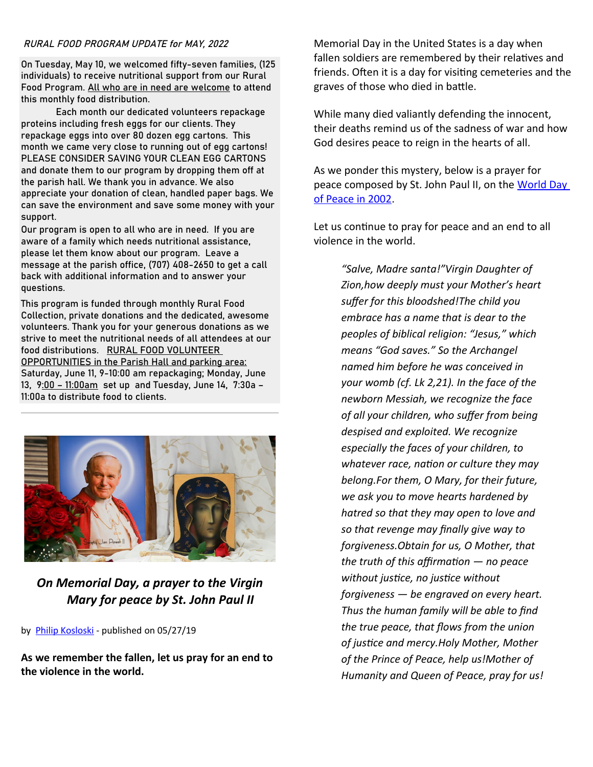## RURAL FOOD PROGRAM UPDATE for MAY, 2022

On Tuesday, May 10, we welcomed fifty-seven families, (125 individuals) to receive nutritional support from our Rural Food Program. All who are in need are welcome to attend this monthly food distribution.

Each month our dedicated volunteers repackage proteins including fresh eggs for our clients. They repackage eggs into over 80 dozen egg cartons. This month we came very close to running out of egg cartons! PLEASE CONSIDER SAVING YOUR CLEAN EGG CARTONS and donate them to our program by dropping them off at the parish hall. We thank you in advance. We also appreciate your donation of clean, handled paper bags. We can save the environment and save some money with your support.

Our program is open to all who are in need. If you are aware of a family which needs nutritional assistance, please let them know about our program. Leave a message at the parish office, (707) 408-2650 to get a call back with additional information and to answer your questions.

This program is funded through monthly Rural Food Collection, private donations and the dedicated, awesome volunteers. Thank you for your generous donations as we strive to meet the nutritional needs of all attendees at our food distributions. RURAL FOOD VOLUNTEER OPPORTUNITIES in the Parish Hall and parking area: Saturday, June 11, 9-10:00 am repackaging; Monday, June 13, 9:00 – 11:00am set up and Tuesday, June 14, 7:30a – 11:00a to distribute food to clients.



*On Memorial Day, a prayer to the Virgin Mary for peace by St. John Paul II*

by [Philip Kosloski](https://aleteia.org/author/philip-kosloski/) - published on 05/27/19

**As we remember the fallen, let us pray for an end to the violence in the world.**

Memorial Day in the United States is a day when fallen soldiers are remembered by their relatives and friends. Often it is a day for visiting cemeteries and the graves of those who died in battle.

While many died valiantly defending the innocent, their deaths remind us of the sadness of war and how God desires peace to reign in the hearts of all.

As we ponder this mystery, below is a prayer for peace composed by St. John Paul II, on the World Day [of Peace in 2002.](http://www.usccb.org/prayer-and-worship/prayers-and-devotions/prayers/prayers-for-peace.cfm)

Let us continue to pray for peace and an end to all violence in the world.

> *"Salve, Madre santa!"Virgin Daughter of Zion,how deeply must your Mother's heart suffer for this bloodshed!The child you embrace has a name that is dear to the peoples of biblical religion: "Jesus," which means "God saves." So the Archangel named him before he was conceived in your womb (cf. Lk 2,21). In the face of the newborn Messiah, we recognize the face of all your children, who suffer from being despised and exploited. We recognize especially the faces of your children, to whatever race, nation or culture they may belong.For them, O Mary, for their future, we ask you to move hearts hardened by hatred so that they may open to love and so that revenge may finally give way to forgiveness.Obtain for us, O Mother, that the truth of this affirmation — no peace without justice, no justice without forgiveness — be engraved on every heart. Thus the human family will be able to find the true peace, that flows from the union of justice and mercy.Holy Mother, Mother of the Prince of Peace, help us!Mother of Humanity and Queen of Peace, pray for us!*